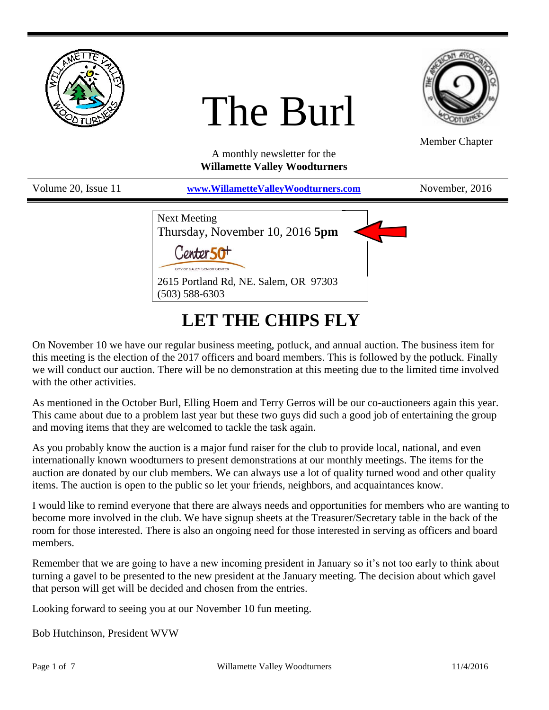

# The Burl



Member Chapter

A monthly newsletter for the **Willamette Valley Woodturners**

| Volume 20, Issue 11 | www.WillametteValleyWoodturners.com                                                                                                                  | November, 2016 |
|---------------------|------------------------------------------------------------------------------------------------------------------------------------------------------|----------------|
|                     | <b>Next Meeting</b><br>Thursday, November 10, 2016 5pm<br>CITY OF SALEM SENIOR CENTER<br>2615 Portland Rd, NE. Salem, OR 97303<br>$(503) 588 - 6303$ |                |

## **LET THE CHIPS FLY**

On November 10 we have our regular business meeting, potluck, and annual auction. The business item for this meeting is the election of the 2017 officers and board members. This is followed by the potluck. Finally we will conduct our auction. There will be no demonstration at this meeting due to the limited time involved with the other activities.

As mentioned in the October Burl, Elling Hoem and Terry Gerros will be our co-auctioneers again this year. This came about due to a problem last year but these two guys did such a good job of entertaining the group and moving items that they are welcomed to tackle the task again.

As you probably know the auction is a major fund raiser for the club to provide local, national, and even internationally known woodturners to present demonstrations at our monthly meetings. The items for the auction are donated by our club members. We can always use a lot of quality turned wood and other quality items. The auction is open to the public so let your friends, neighbors, and acquaintances know.

I would like to remind everyone that there are always needs and opportunities for members who are wanting to become more involved in the club. We have signup sheets at the Treasurer/Secretary table in the back of the room for those interested. There is also an ongoing need for those interested in serving as officers and board members.

Remember that we are going to have a new incoming president in January so it's not too early to think about turning a gavel to be presented to the new president at the January meeting. The decision about which gavel that person will get will be decided and chosen from the entries.

Looking forward to seeing you at our November 10 fun meeting.

Bob Hutchinson, President WVW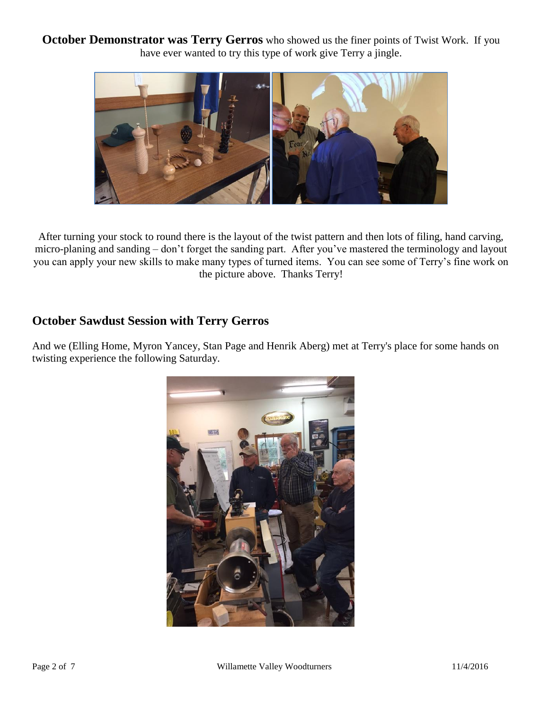**October Demonstrator was Terry Gerros** who showed us the finer points of Twist Work. If you have ever wanted to try this type of work give Terry a jingle.



After turning your stock to round there is the layout of the twist pattern and then lots of filing, hand carving, micro-planing and sanding – don't forget the sanding part. After you've mastered the terminology and layout you can apply your new skills to make many types of turned items. You can see some of Terry's fine work on the picture above. Thanks Terry!

#### **October Sawdust Session with Terry Gerros**

And we (Elling Home, Myron Yancey, Stan Page and Henrik Aberg) met at Terry's place for some hands on twisting experience the following Saturday.

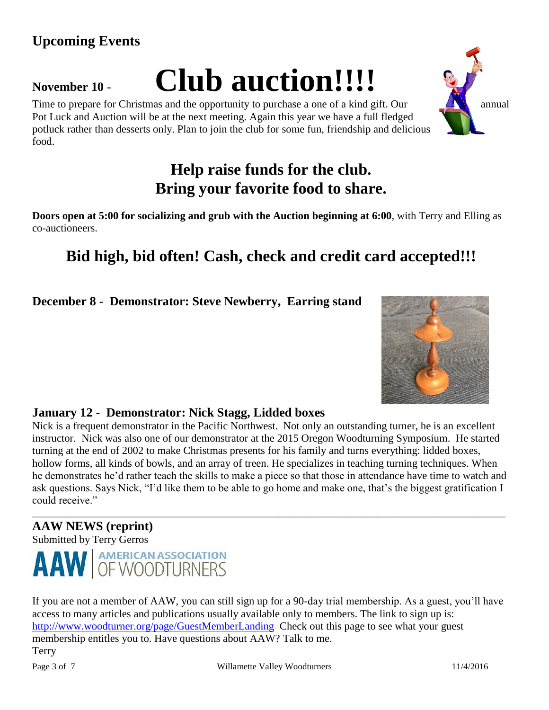## **Upcoming Events**

## **November <sup>10</sup>** - **Club auction!!!!**

Time to prepare for Christmas and the opportunity to purchase a one of a kind gift. Our annual Pot Luck and Auction will be at the next meeting. Again this year we have a full fledged potluck rather than desserts only. Plan to join the club for some fun, friendship and delicious food.

## **Help raise funds for the club. Bring your favorite food to share.**

**Doors open at 5:00 for socializing and grub with the Auction beginning at 6:00**, with Terry and Elling as co-auctioneers.

## **Bid high, bid often! Cash, check and credit card accepted!!!**

**December 8** - **Demonstrator: Steve Newberry, Earring stand**

#### **January 12** - **Demonstrator: Nick Stagg, Lidded boxes**

Nick is a frequent demonstrator in the Pacific Northwest. Not only an outstanding turner, he is an excellent instructor. Nick was also one of our demonstrator at the 2015 Oregon Woodturning Symposium. He started turning at the end of 2002 to make Christmas presents for his family and turns everything: lidded boxes, hollow forms, all kinds of bowls, and an array of treen. He specializes in teaching turning techniques. When he demonstrates he'd rather teach the skills to make a piece so that those in attendance have time to watch and ask questions. Says Nick, "I'd like them to be able to go home and make one, that's the biggest gratification I could receive." \_\_\_\_\_\_\_\_\_\_\_\_\_\_\_\_\_\_\_\_\_\_\_\_\_\_\_\_\_\_\_\_\_\_\_\_\_\_\_\_\_\_\_\_\_\_\_\_\_\_\_\_\_\_\_\_\_\_\_\_\_\_\_\_\_\_\_\_\_\_\_\_\_\_\_\_\_\_\_\_\_\_\_\_\_\_\_\_

## **AAW NEWS (reprint)**

Submitted by Terry Gerros



If you are not a member of AAW, you can still sign up for a 90-day trial membership. As a guest, you'll have access to many articles and publications usually available only to members. The link to sign up is: <http://www.woodturner.org/page/GuestMemberLanding>Check out this page to see what your guest membership entitles you to. Have questions about AAW? Talk to me. Terry



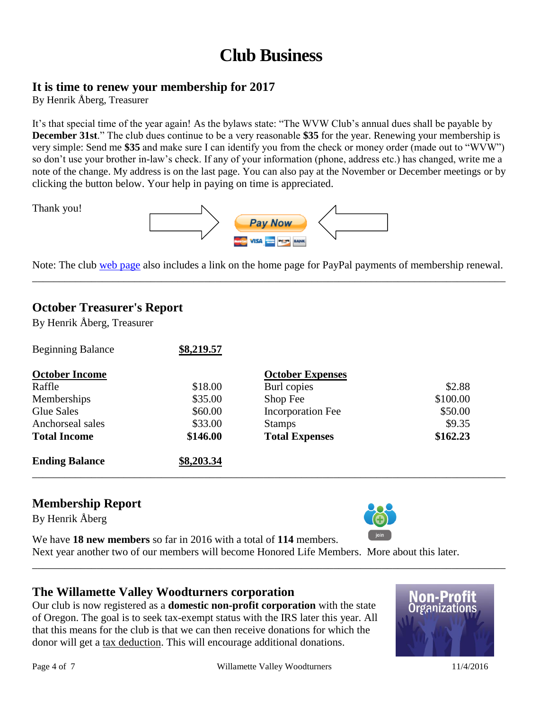## **Club Business**

#### **It is time to renew your membership for 2017**

By Henrik Åberg, Treasurer

Thank you!

It's that special time of the year again! As the bylaws state: "The WVW Club's annual dues shall be payable by **December 31st**." The club dues continue to be a very reasonable **\$35** for the year. Renewing your membership is very simple: Send me **\$35** and make sure I can identify you from the check or money order (made out to "WVW") so don't use your brother in-law's check. If any of your information (phone, address etc.) has changed, write me a note of the change. My address is on the last page. You can also pay at the November or December meetings or by clicking the button below. Your help in paying on time is appreciated.



Note: The club [web page](http://www.willamettevalleywoodturners.com/) also includes a link on the home page for PayPal payments of membership renewal. \_\_\_\_\_\_\_\_\_\_\_\_\_\_\_\_\_\_\_\_\_\_\_\_\_\_\_\_\_\_\_\_\_\_\_\_\_\_\_\_\_\_\_\_\_\_\_\_\_\_\_\_\_\_\_\_\_\_\_\_\_\_\_\_\_\_\_\_\_\_\_\_\_\_\_\_\_\_\_\_\_\_\_\_\_\_\_\_

#### **October Treasurer's Report**

By Henrik Åberg, Treasurer

| <b>Ending Balance</b>    | \$8,203.34 |                          |          |
|--------------------------|------------|--------------------------|----------|
| <b>Total Income</b>      | \$146.00   | <b>Total Expenses</b>    | \$162.23 |
| Anchorseal sales         | \$33.00    | <b>Stamps</b>            | \$9.35   |
| Glue Sales               | \$60.00    | <b>Incorporation Fee</b> | \$50.00  |
| Memberships              | \$35.00    | Shop Fee                 | \$100.00 |
| Raffle                   | \$18.00    | Burl copies              | \$2.88   |
| <b>October Income</b>    |            | <b>October Expenses</b>  |          |
| <b>Beginning Balance</b> | \$8,219.57 |                          |          |

#### **Membership Report**

By Henrik Åberg



We have **18 new members** so far in 2016 with a total of **114** members.

Next year another two of our members will become Honored Life Members. More about this later. \_\_\_\_\_\_\_\_\_\_\_\_\_\_\_\_\_\_\_\_\_\_\_\_\_\_\_\_\_\_\_\_\_\_\_\_\_\_\_\_\_\_\_\_\_\_\_\_\_\_\_\_\_\_\_\_\_\_\_\_\_\_\_\_\_\_\_\_\_\_\_\_\_\_\_\_\_\_\_\_\_\_\_\_\_\_\_\_

#### **The Willamette Valley Woodturners corporation**

Our club is now registered as a **domestic non-profit corporation** with the state of Oregon. The goal is to seek tax-exempt status with the IRS later this year. All that this means for the club is that we can then receive donations for which the donor will get a tax deduction. This will encourage additional donations.

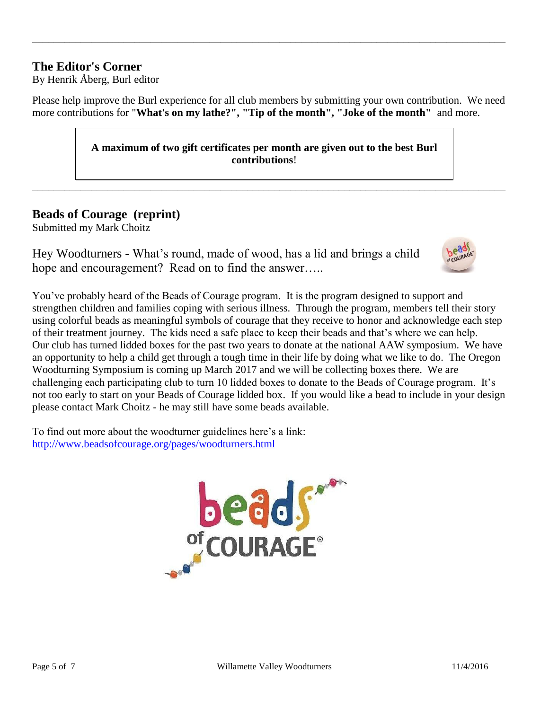#### **The Editor's Corner**

By Henrik Åberg, Burl editor

Please help improve the Burl experience for all club members by submitting your own contribution. We need more contributions for "**What's on my lathe?", "Tip of the month", "Joke of the month"** and more.

\_\_\_\_\_\_\_\_\_\_\_\_\_\_\_\_\_\_\_\_\_\_\_\_\_\_\_\_\_\_\_\_\_\_\_\_\_\_\_\_\_\_\_\_\_\_\_\_\_\_\_\_\_\_\_\_\_\_\_\_\_\_\_\_\_\_\_\_\_\_\_\_\_\_\_\_\_\_\_\_\_\_\_\_\_\_\_\_

**A maximum of two gift certificates per month are given out to the best Burl contributions**!

\_\_\_\_\_\_\_\_\_\_\_\_\_\_\_\_\_\_\_\_\_\_\_\_\_\_\_\_\_\_\_\_\_\_\_\_\_\_\_\_\_\_\_\_\_\_\_\_\_\_\_\_\_\_\_\_\_\_\_\_\_\_\_\_\_\_\_\_\_\_\_\_\_\_\_\_\_\_\_\_\_\_\_\_\_\_\_\_

#### **Beads of Courage (reprint)**

Submitted my Mark Choitz

Hey Woodturners - What's round, made of wood, has a lid and brings a child hope and encouragement? Read on to find the answer.....



You've probably heard of the Beads of Courage program. It is the program designed to support and strengthen children and families coping with serious illness. Through the program, members tell their story using colorful beads as meaningful symbols of courage that they receive to honor and acknowledge each step of their treatment journey. The kids need a safe place to keep their beads and that's where we can help. Our club has turned lidded boxes for the past two years to donate at the national AAW symposium. We have an opportunity to help a child get through a tough time in their life by doing what we like to do. The Oregon Woodturning Symposium is coming up March 2017 and we will be collecting boxes there. We are challenging each participating club to turn 10 lidded boxes to donate to the Beads of Courage program. It's not too early to start on your Beads of Courage lidded box. If you would like a bead to include in your design please contact Mark Choitz - he may still have some beads available.

To find out more about the woodturner guidelines here's a link: <http://www.beadsofcourage.org/pages/woodturners.html>

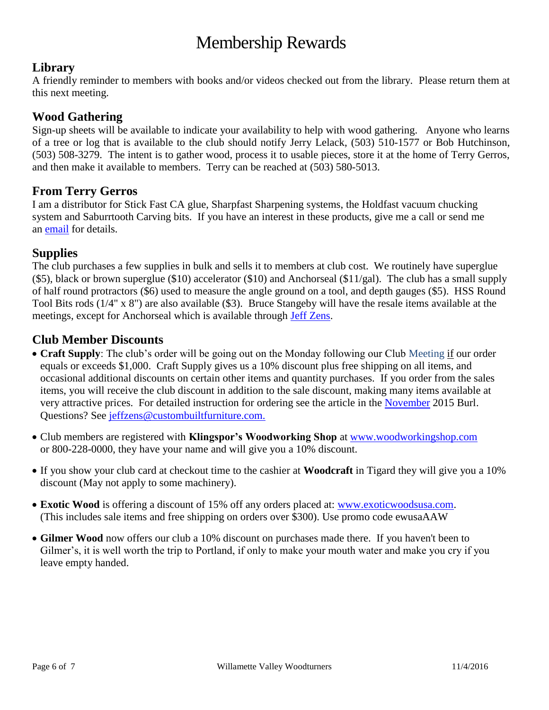## Membership Rewards

#### **Library**

A friendly reminder to members with books and/or videos checked out from the library. Please return them at this next meeting.

#### **Wood Gathering**

Sign-up sheets will be available to indicate your availability to help with wood gathering. Anyone who learns of a tree or log that is available to the club should notify Jerry Lelack, (503) 510-1577 or Bob Hutchinson, (503) 508-3279. The intent is to gather wood, process it to usable pieces, store it at the home of Terry Gerros, and then make it available to members. Terry can be reached at (503) 580-5013.

#### **From Terry Gerros**

I am a distributor for Stick Fast CA glue, Sharpfast Sharpening systems, the Holdfast vacuum chucking system and Saburrtooth Carving bits. If you have an interest in these products, give me a call or send me an [email](mailto:gerrost@yahoo.com) for details.

#### **Supplies**

The club purchases a few supplies in bulk and sells it to members at club cost. We routinely have superglue (\$5), black or brown superglue (\$10) accelerator (\$10) and Anchorseal (\$11/gal). The club has a small supply of half round protractors (\$6) used to measure the angle ground on a tool, and depth gauges (\$5). HSS Round Tool Bits rods (1/4" x 8") are also available (\$3). Bruce Stangeby will have the resale items available at the meetings, except for Anchorseal which is available through [Jeff Zens.](mailto:jszens@custombuiltfurniture.com)

#### **Club Member Discounts**

- **Craft Supply**: The club's order will be going out on the Monday following our Club Meeting if our order equals or exceeds \$1,000. Craft Supply gives us a 10% discount plus free shipping on all items, and occasional additional discounts on certain other items and quantity purchases. If you order from the sales items, you will receive the club discount in addition to the sale discount, making many items available at very attractive prices. For detailed instruction for ordering see the article in the [November](http://www.willamettevalleywoodturners.com/newsletters/2015_11_WVW_Newsletter.pdf) 2015 Burl. Questions? See [jeffzens@custombuiltfurniture.com.](mailto:jeffzens@custombuiltfurniture.com.)
- Club members are registered with **Klingspor's Woodworking Shop** at [www.woodworkingshop.com](http://www.woodworkingshop.com/)  or 800-228-0000, they have your name and will give you a 10% discount.
- If you show your club card at checkout time to the cashier at **Woodcraft** in Tigard they will give you a 10% discount (May not apply to some machinery).
- **Exotic Wood** is offering a discount of 15% off any orders placed at: [www.exoticwoodsusa.com.](http://www.exoticwoodsusa.com/) (This includes sale items and free shipping on orders over \$300). Use promo code ewusaAAW
- **Gilmer Wood** now offers our club a 10% discount on purchases made there. If you haven't been to Gilmer's, it is well worth the trip to Portland, if only to make your mouth water and make you cry if you leave empty handed.